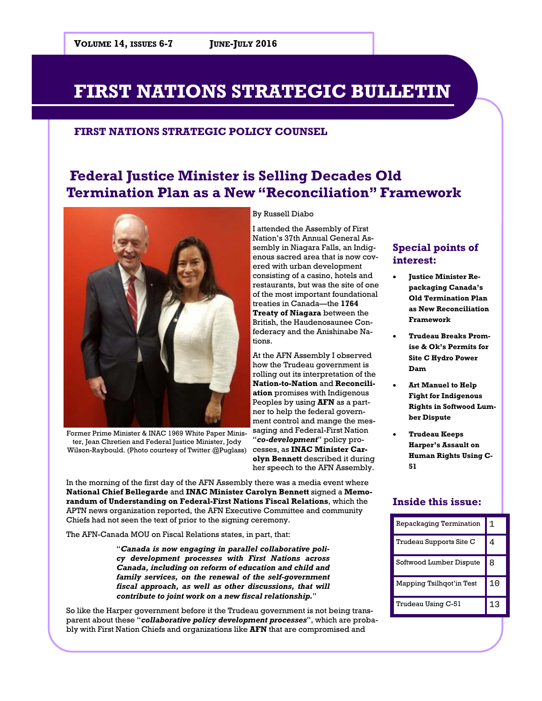### **FIRST NATIONS STRATEGIC POLICY COUNSEL**

# **Federal Justice Minister is Selling Decades Old Termination Plan as a New "Reconciliation" Framework**



Former Prime Minister & INAC 1969 White Paper Minister, Jean Chretien and Federal Justice Minister, Jody Wilson-Raybould. (Photo courtesy of Twitter @Puglass)

By Russell Diabo

I attended the Assembly of First Nation's 37th Annual General Assembly in Niagara Falls, an Indigenous sacred area that is now covered with urban development consisting of a casino, hotels and restaurants, but was the site of one of the most important foundational treaties in Canada—the **1764 Treaty of Niagara** between the British, the Haudenosaunee Confederacy and the Anishinabe Nations.

At the AFN Assembly I observed how the Trudeau government is rolling out its interpretation of the **Nation-to-Nation** and **Reconciliation** promises with Indigenous Peoples by using **AFN** as a partner to help the federal government control and mange the messaging and Federal-First Nation "*co-development*" policy processes, as **INAC Minister Carolyn Bennett** described it during her speech to the AFN Assembly.

In the morning of the first day of the AFN Assembly there was a media event where **National Chief Bellegarde** and **INAC Minister Carolyn Bennett** signed a **Memorandum of Understanding on Federal-First Nations Fiscal Relations**, which the APTN news organization reported, the AFN Executive Committee and community Chiefs had not seen the text of prior to the signing ceremony.

The AFN-Canada MOU on Fiscal Relations states, in part, that:

"*Canada is now engaging in parallel collaborative policy development processes with First Nations across Canada, including on reform of education and child and family services, on the renewal of the self-government fiscal approach, as well as other discussions, that will contribute to joint work on a new fiscal relationship.*"

So like the Harper government before it the Trudeau government is not being transparent about these "*collaborative policy development processes*", which are probably with First Nation Chiefs and organizations like **AFN** that are compromised and

## **Special points of interest:**

- **Justice Minister Repackaging Canada's Old Termination Plan as New Reconciliation Framework**
- **Trudeau Breaks Promise & Ok's Permits for Site C Hydro Power Dam**
- **Art Manuel to Help Fight for Indigenous Rights in Softwood Lumber Dispute**
- **Trudeau Keeps Harper's Assault on Human Rights Using C-51**

## **Inside this issue:**

| Repackaging Termination  |    |
|--------------------------|----|
| Trudeau Supports Site C  |    |
| Softwood Lumber Dispute  | 8  |
| Mapping Tsilhqot'in Test | 10 |
| Trudeau Using C-51       |    |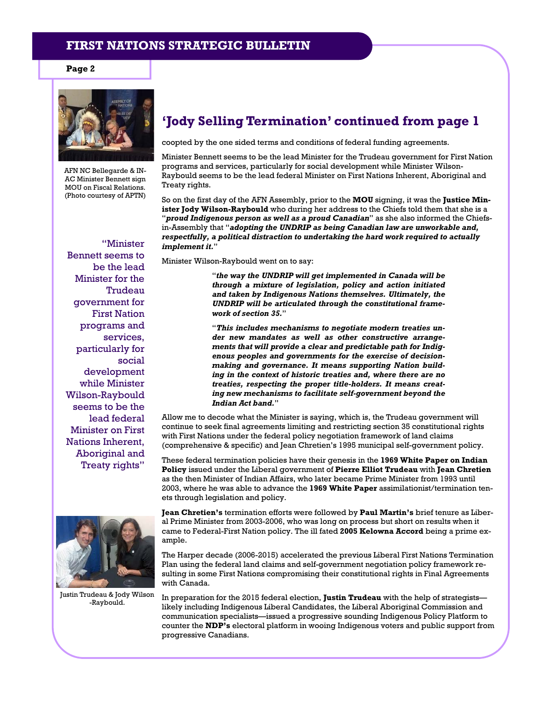**Page 2** 



AFN NC Bellegarde & IN-AC Minister Bennett sign MOU on Fiscal Relations. (Photo courtesy of APTN)

"Minister

Bennett seems to be the lead Minister for the Trudeau government for First Nation programs and services, particularly for social development while Minister Wilson-Raybould seems to be the lead federal Minister on First Nations Inherent, Aboriginal and Treaty rights"



Justin Trudeau & Jody Wilson -Raybould.

## **'Jody Selling Termination' continued from page 1**

coopted by the one sided terms and conditions of federal funding agreements.

Minister Bennett seems to be the lead Minister for the Trudeau government for First Nation programs and services, particularly for social development while Minister Wilson-Raybould seems to be the lead federal Minister on First Nations Inherent, Aboriginal and Treaty rights.

So on the first day of the AFN Assembly, prior to the **MOU** signing, it was the **Justice Minister Jody Wilson-Raybould** who during her address to the Chiefs told them that she is a "*proud Indigenous person as well as a proud Canadian*" as she also informed the Chiefsin-Assembly that "*adopting the UNDRIP as being Canadian law are unworkable and, respectfully, a political distraction to undertaking the hard work required to actually implement it.*"

Minister Wilson-Raybould went on to say:

"*the way the UNDRIP will get implemented in Canada will be through a mixture of legislation, policy and action initiated and taken by Indigenous Nations themselves. Ultimately, the UNDRIP will be articulated through the constitutional framework of section 35.*"

"*This includes mechanisms to negotiate modern treaties under new mandates as well as other constructive arrangements that will provide a clear and predictable path for Indigenous peoples and governments for the exercise of decisionmaking and governance. It means supporting Nation building in the context of historic treaties and, where there are no treaties, respecting the proper title-holders. It means creating new mechanisms to facilitate self-government beyond the Indian Act band.*"

Allow me to decode what the Minister is saying, which is, the Trudeau government will continue to seek final agreements limiting and restricting section 35 constitutional rights with First Nations under the federal policy negotiation framework of land claims (comprehensive & specific) and Jean Chretien's 1995 municipal self-government policy.

These federal termination policies have their genesis in the **1969 White Paper on Indian Policy** issued under the Liberal government of **Pierre Elliot Trudeau** with **Jean Chretien** as the then Minister of Indian Affairs, who later became Prime Minister from 1993 until 2003, where he was able to advance the **1969 White Paper** assimilationist/termination tenets through legislation and policy.

**Jean Chretien's** termination efforts were followed by **Paul Martin's** brief tenure as Liberal Prime Minister from 2003-2006, who was long on process but short on results when it came to Federal-First Nation policy. The ill fated **2005 Kelowna Accord** being a prime example.

The Harper decade (2006-2015) accelerated the previous Liberal First Nations Termination Plan using the federal land claims and self-government negotiation policy framework resulting in some First Nations compromising their constitutional rights in Final Agreements with Canada.

In preparation for the 2015 federal election, **Justin Trudeau** with the help of strategists likely including Indigenous Liberal Candidates, the Liberal Aboriginal Commission and communication specialists—issued a progressive sounding Indigenous Policy Platform to counter the **NDP's** electoral platform in wooing Indigenous voters and public support from progressive Canadians.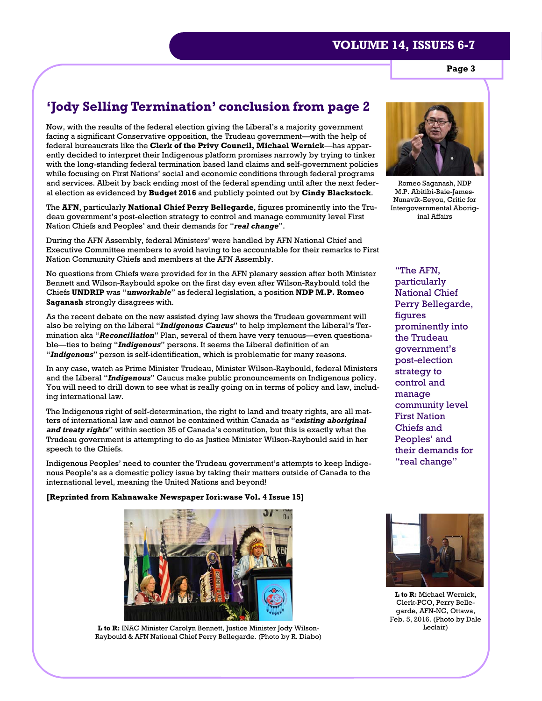**Page 3** 

# **'Jody Selling Termination' conclusion from page 2**

Now, with the results of the federal election giving the Liberal's a majority government facing a significant Conservative opposition, the Trudeau government—with the help of federal bureaucrats like the **Clerk of the Privy Council, Michael Wernick**—has apparently decided to interpret their Indigenous platform promises narrowly by trying to tinker with the long-standing federal termination based land claims and self-government policies while focusing on First Nations' social and economic conditions through federal programs and services. Albeit by back ending most of the federal spending until after the next federal election as evidenced by **Budget 2016** and publicly pointed out by **Cindy Blackstock**.

The **AFN**, particularly **National Chief Perry Bellegarde**, figures prominently into the Trudeau government's post-election strategy to control and manage community level First Nation Chiefs and Peoples' and their demands for "*real change*".

During the AFN Assembly, federal Ministers' were handled by AFN National Chief and Executive Committee members to avoid having to be accountable for their remarks to First Nation Community Chiefs and members at the AFN Assembly.

No questions from Chiefs were provided for in the AFN plenary session after both Minister Bennett and Wilson-Raybould spoke on the first day even after Wilson-Raybould told the Chiefs **UNDRIP** was "*unworkable*" as federal legislation, a position **NDP M.P. Romeo Saganash** strongly disagrees with.

As the recent debate on the new assisted dying law shows the Trudeau government will also be relying on the Liberal "*Indigenous Caucus*" to help implement the Liberal's Termination aka "*Reconciliation*" Plan, several of them have very tenuous—even questionable—ties to being "*Indigenous*" persons. It seems the Liberal definition of an "*Indigenous*" person is self-identification, which is problematic for many reasons.

In any case, watch as Prime Minister Trudeau, Minister Wilson-Raybould, federal Ministers and the Liberal "*Indigenous*" Caucus make public pronouncements on Indigenous policy. You will need to drill down to see what is really going on in terms of policy and law, including international law.

The Indigenous right of self-determination, the right to land and treaty rights, are all matters of international law and cannot be contained within Canada as "*existing aboriginal and treaty rights*" within section 35 of Canada's constitution, but this is exactly what the Trudeau government is attempting to do as Justice Minister Wilson-Raybould said in her speech to the Chiefs.

Indigenous Peoples' need to counter the Trudeau government's attempts to keep Indigenous People's as a domestic policy issue by taking their matters outside of Canada to the international level, meaning the United Nations and beyond!

#### **[Reprinted from Kahnawake Newspaper Iorì:wase Vol. 4 Issue 15]**



**L to R:** INAC Minister Carolyn Bennett, Justice Minister Jody Wilson- Leclair) Raybould & AFN National Chief Perry Bellegarde. (Photo by R. Diabo)



Romeo Saganash, NDP M.P. Abitibi-Baie-James-Nunavik-Eeyou, Critic for Intergovernmental Aboriginal Affairs

"The AFN, particularly National Chief Perry Bellegarde, figures prominently into the Trudeau government's post-election strategy to control and manage community level First Nation Chiefs and Peoples' and their demands for "real change"



**L to R:** Michael Wernick, Clerk-PCO, Perry Bellegarde, AFN-NC, Ottawa, Feb. 5, 2016. (Photo by Dale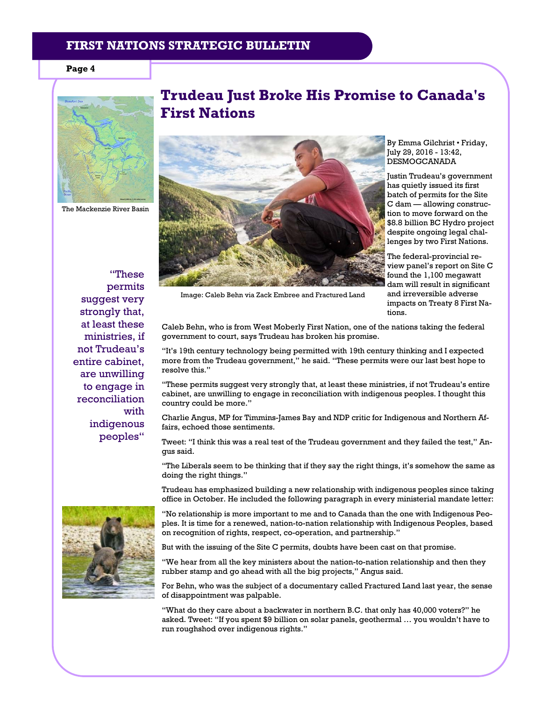#### **Page 4**



The Mackenzie River Basin

"These permits suggest very strongly that, at least these ministries, if not Trudeau's entire cabinet, are unwilling to engage in reconciliation with indigenous peoples"

# **Trudeau Just Broke His Promise to Canada's First Nations**



By Emma Gilchrist • Friday, July 29, 2016 - 13:42, DESMOGCANADA

Justin Trudeau's government has quietly issued its first batch of permits for the Site C dam — allowing construction to move forward on the \$8.8 billion BC Hydro project despite ongoing legal challenges by two First Nations.

The federal-provincial review panel's report on Site C found the 1,100 megawatt dam will result in significant and irreversible adverse impacts on Treaty 8 First Nations.

Image: Caleb Behn via Zack Embree and Fractured Land

Caleb Behn, who is from West Moberly First Nation, one of the nations taking the federal government to court, says Trudeau has broken his promise.

"It's 19th century technology being permitted with 19th century thinking and I expected more from the Trudeau government," he said. "These permits were our last best hope to resolve this."

"These permits suggest very strongly that, at least these ministries, if not Trudeau's entire cabinet, are unwilling to engage in reconciliation with indigenous peoples. I thought this country could be more."

Charlie Angus, MP for Timmins-James Bay and NDP critic for Indigenous and Northern Affairs, echoed those sentiments.

Tweet: "I think this was a real test of the Trudeau government and they failed the test," Angus said.

"The Liberals seem to be thinking that if they say the right things, it's somehow the same as doing the right things."

Trudeau has emphasized building a new relationship with indigenous peoples since taking office in October. He included the following paragraph in every ministerial mandate letter:

"No relationship is more important to me and to Canada than the one with Indigenous Peoples. It is time for a renewed, nation-to-nation relationship with Indigenous Peoples, based on recognition of rights, respect, co-operation, and partnership."

But with the issuing of the Site C permits, doubts have been cast on that promise.

"We hear from all the key ministers about the nation-to-nation relationship and then they rubber stamp and go ahead with all the big projects," Angus said.

For Behn, who was the subject of a documentary called Fractured Land last year, the sense of disappointment was palpable.

"What do they care about a backwater in northern B.C. that only has 40,000 voters?" he asked. Tweet: "If you spent \$9 billion on solar panels, geothermal … you wouldn't have to run roughshod over indigenous rights."

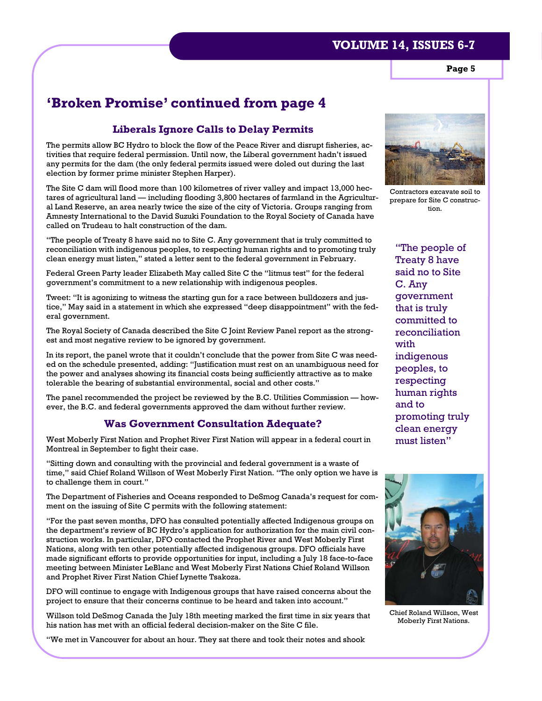**Page 5** 

# **'Broken Promise' continued from page 4**

#### **Liberals Ignore Calls to Delay Permits**

The permits allow BC Hydro to block the flow of the Peace River and disrupt fisheries, activities that require federal permission. Until now, the Liberal government hadn't issued any permits for the dam (the only federal permits issued were doled out during the last election by former prime minister Stephen Harper).

The Site C dam will flood more than 100 kilometres of river valley and impact 13,000 hectares of agricultural land — including flooding 3,800 hectares of farmland in the Agricultural Land Reserve, an area nearly twice the size of the city of Victoria. Groups ranging from Amnesty International to the David Suzuki Foundation to the Royal Society of Canada have called on Trudeau to halt construction of the dam.

"The people of Treaty 8 have said no to Site C. Any government that is truly committed to reconciliation with indigenous peoples, to respecting human rights and to promoting truly clean energy must listen," stated a letter sent to the federal government in February.

Federal Green Party leader Elizabeth May called Site C the "litmus test" for the federal government's commitment to a new relationship with indigenous peoples.

Tweet: "It is agonizing to witness the starting gun for a race between bulldozers and justice," May said in a statement in which she expressed "deep disappointment" with the federal government.

The Royal Society of Canada described the Site C Joint Review Panel report as the strongest and most negative review to be ignored by government.

In its report, the panel wrote that it couldn't conclude that the power from Site C was needed on the schedule presented, adding: "Justification must rest on an unambiguous need for the power and analyses showing its financial costs being sufficiently attractive as to make tolerable the bearing of substantial environmental, social and other costs."

The panel recommended the project be reviewed by the B.C. Utilities Commission — however, the B.C. and federal governments approved the dam without further review.

#### **Was Government Consultation Adequate?**

West Moberly First Nation and Prophet River First Nation will appear in a federal court in Montreal in September to fight their case.

"Sitting down and consulting with the provincial and federal government is a waste of time," said Chief Roland Willson of West Moberly First Nation. "The only option we have is to challenge them in court."

The Department of Fisheries and Oceans responded to DeSmog Canada's request for comment on the issuing of Site C permits with the following statement:

"For the past seven months, DFO has consulted potentially affected Indigenous groups on the department's review of BC Hydro's application for authorization for the main civil construction works. In particular, DFO contacted the Prophet River and West Moberly First Nations, along with ten other potentially affected indigenous groups. DFO officials have made significant efforts to provide opportunities for input, including a July 18 face-to-face meeting between Minister LeBlanc and West Moberly First Nations Chief Roland Willson and Prophet River First Nation Chief Lynette Tsakoza.

DFO will continue to engage with Indigenous groups that have raised concerns about the project to ensure that their concerns continue to be heard and taken into account."

Willson told DeSmog Canada the July 18th meeting marked the first time in six years that his nation has met with an official federal decision-maker on the Site C file.

"We met in Vancouver for about an hour. They sat there and took their notes and shook



Contractors excavate soil to prepare for Site C construction.

"The people of Treaty 8 have said no to Site C. Any government that is truly committed to reconciliation with indigenous peoples, to respecting human rights and to promoting truly clean energy must listen"



Chief Roland Willson, West Moberly First Nations.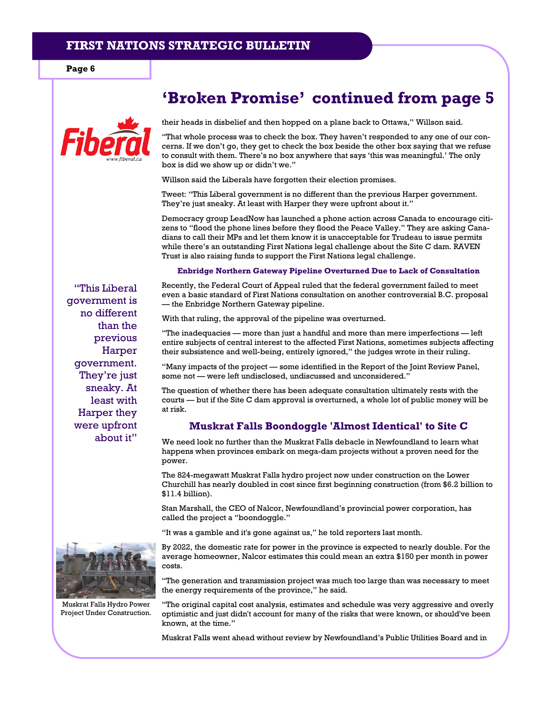**Page 6** 

"This Liberal government is no different than the previous Harper

government. They're just sneaky. At least with Harper they were upfront about it"

their heads in disbelief and then hopped on a plane back to Ottawa," Willson said.

"That whole process was to check the box. They haven't responded to any one of our concerns. If we don't go, they get to check the box beside the other box saying that we refuse to consult with them. There's no box anywhere that says 'this was meaningful.' The only box is did we show up or didn't we."

**'Broken Promise' continued from page 5** 

Willson said the Liberals have forgotten their election promises.

Tweet: "This Liberal government is no different than the previous Harper government. They're just sneaky. At least with Harper they were upfront about it."

Democracy group LeadNow has launched a phone action across Canada to encourage citizens to "flood the phone lines before they flood the Peace Valley." They are asking Canadians to call their MPs and let them know it is unacceptable for Trudeau to issue permits while there's an outstanding First Nations legal challenge about the Site C dam. RAVEN Trust is also raising funds to support the First Nations legal challenge.

#### **Enbridge Northern Gateway Pipeline Overturned Due to Lack of Consultation**

Recently, the Federal Court of Appeal ruled that the federal government failed to meet even a basic standard of First Nations consultation on another controversial B.C. proposal — the Enbridge Northern Gateway pipeline.

With that ruling, the approval of the pipeline was overturned.

"The inadequacies — more than just a handful and more than mere imperfections — left entire subjects of central interest to the affected First Nations, sometimes subjects affecting their subsistence and well-being, entirely ignored," the judges wrote in their ruling.

"Many impacts of the project — some identified in the Report of the Joint Review Panel, some not — were left undisclosed, undiscussed and unconsidered."

The question of whether there has been adequate consultation ultimately rests with the courts — but if the Site C dam approval is overturned, a whole lot of public money will be at risk.

#### **Muskrat Falls Boondoggle 'Almost Identical' to Site C**

We need look no further than the Muskrat Falls debacle in Newfoundland to learn what happens when provinces embark on mega-dam projects without a proven need for the power.

The 824-megawatt Muskrat Falls hydro project now under construction on the Lower Churchill has nearly doubled in cost since first beginning construction (from \$6.2 billion to \$11.4 billion).

Stan Marshall, the CEO of Nalcor, Newfoundland's provincial power corporation, has called the project a "boondoggle."

"It was a gamble and it's gone against us," he told reporters last month.

By 2022, the domestic rate for power in the province is expected to nearly double. For the average homeowner, Nalcor estimates this could mean an extra \$150 per month in power costs.

"The generation and transmission project was much too large than was necessary to meet the energy requirements of the province," he said.

"The original capital cost analysis, estimates and schedule was very aggressive and overly optimistic and just didn't account for many of the risks that were known, or should've been known, at the time."

Muskrat Falls went ahead without review by Newfoundland's Public Utilities Board and in



Muskrat Falls Hydro Power Project Under Construction.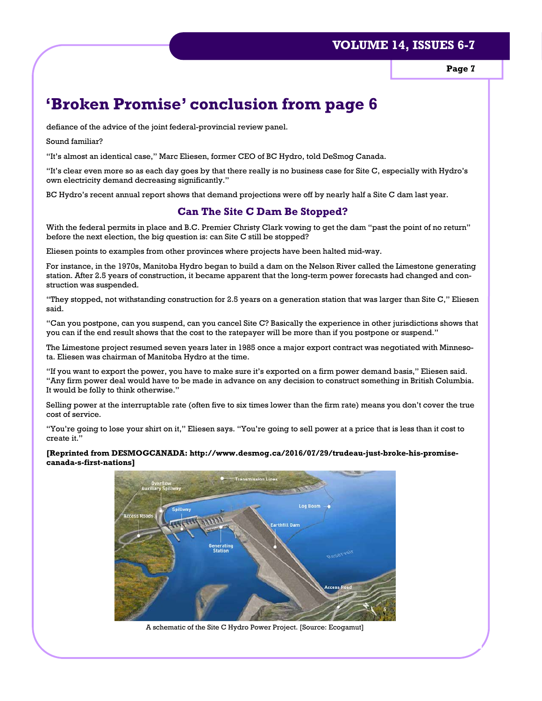**Page 7** 

# **'Broken Promise' conclusion from page 6**

defiance of the advice of the joint federal-provincial review panel.

Sound familiar?

"It's almost an identical case," Marc Eliesen, former CEO of BC Hydro, told DeSmog Canada.

"It's clear even more so as each day goes by that there really is no business case for Site C, especially with Hydro's own electricity demand decreasing significantly."

BC Hydro's recent annual report shows that demand projections were off by nearly half a Site C dam last year.

### **Can The Site C Dam Be Stopped?**

With the federal permits in place and B.C. Premier Christy Clark vowing to get the dam "past the point of no return" before the next election, the big question is: can Site C still be stopped?

Eliesen points to examples from other provinces where projects have been halted mid-way.

For instance, in the 1970s, Manitoba Hydro began to build a dam on the Nelson River called the Limestone generating station. After 2.5 years of construction, it became apparent that the long-term power forecasts had changed and construction was suspended.

"They stopped, not withstanding construction for 2.5 years on a generation station that was larger than Site C," Eliesen said.

"Can you postpone, can you suspend, can you cancel Site C? Basically the experience in other jurisdictions shows that you can if the end result shows that the cost to the ratepayer will be more than if you postpone or suspend."

The Limestone project resumed seven years later in 1985 once a major export contract was negotiated with Minnesota. Eliesen was chairman of Manitoba Hydro at the time.

"If you want to export the power, you have to make sure it's exported on a firm power demand basis," Eliesen said. "Any firm power deal would have to be made in advance on any decision to construct something in British Columbia. It would be folly to think otherwise."

Selling power at the interruptable rate (often five to six times lower than the firm rate) means you don't cover the true cost of service.

"You're going to lose your shirt on it," Eliesen says. "You're going to sell power at a price that is less than it cost to create it."

#### **[Reprinted from DESMOGCANADA: http://www.desmog.ca/2016/07/29/trudeau-just-broke-his-promisecanada-s-first-nations]**



A schematic of the Site C Hydro Power Project. [Source: Ecogamut]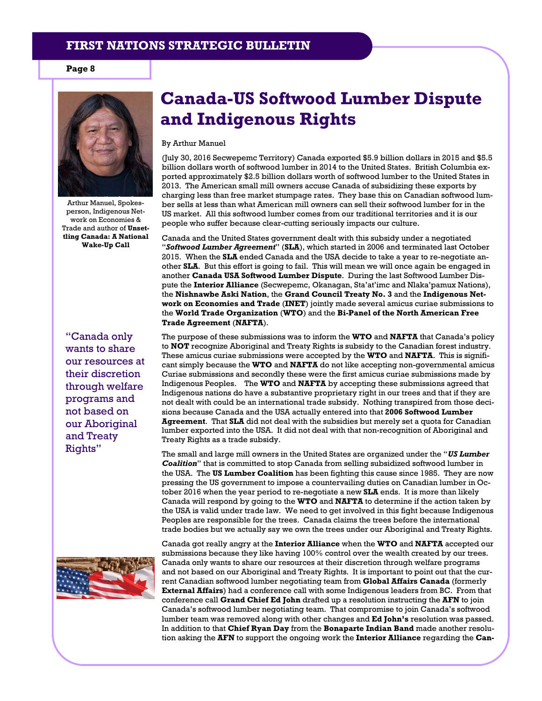**Page 8** 



Arthur Manuel, Spokesperson, Indigenous Network on Economies & Trade and author of **Unsettling Canada: A National Wake-Up Call**

"Canada only wants to share our resources at their discretion through welfare programs and not based on our Aboriginal and Treaty Rights"



# **Canada-US Softwood Lumber Dispute and Indigenous Rights**

By Arthur Manuel

(July 30, 2016 Secwepemc Territory) Canada exported \$5.9 billion dollars in 2015 and \$5.5 billion dollars worth of softwood lumber in 2014 to the United States. British Columbia exported approximately \$2.5 billion dollars worth of softwood lumber to the United States in 2013. The American small mill owners accuse Canada of subsidizing these exports by charging less than free market stumpage rates. They base this on Canadian softwood lumber sells at less than what American mill owners can sell their softwood lumber for in the US market. All this softwood lumber comes from our traditional territories and it is our people who suffer because clear-cutting seriously impacts our culture.

Canada and the United States government dealt with this subsidy under a negotiated "*Softwood Lumber Agreement*" (**SLA**), which started in 2006 and terminated last October 2015. When the **SLA** ended Canada and the USA decide to take a year to re-negotiate another **SLA**. But this effort is going to fail. This will mean we will once again be engaged in another **Canada USA Softwood Lumber Dispute**. During the last Softwood Lumber Dispute the **Interior Alliance** (Secwepemc, Okanagan, Sta'at'imc and Nlaka'pamux Nations), the **Nishnawbe Aski Nation**, the **Grand Council Treaty No. 3** and the **Indigenous Network on Economies and Trade** (**INET**) jointly made several amicus curiae submissions to the **World Trade Organization** (**WTO**) and the **Bi-Panel of the North American Free Trade Agreement** (**NAFTA**).

The purpose of these submissions was to inform the **WTO** and **NAFTA** that Canada's policy to **NOT** recognize Aboriginal and Treaty Rights is subsidy to the Canadian forest industry. These amicus curiae submissions were accepted by the **WTO** and **NAFTA**. This is significant simply because the **WTO** and **NAFTA** do not like accepting non-governmental amicus Curiae submissions and secondly these were the first amicus curiae submissions made by Indigenous Peoples. The **WTO** and **NAFTA** by accepting these submissions agreed that Indigenous nations do have a substantive proprietary right in our trees and that if they are not dealt with could be an international trade subsidy. Nothing transpired from those decisions because Canada and the USA actually entered into that **2006 Softwood Lumber Agreement**. That **SLA** did not deal with the subsidies but merely set a quota for Canadian lumber exported into the USA. It did not deal with that non-recognition of Aboriginal and Treaty Rights as a trade subsidy.

The small and large mill owners in the United States are organized under the "*US Lumber Coalition*" that is committed to stop Canada from selling subsidized softwood lumber in the USA. The **US Lumber Coalition** has been fighting this cause since 1985. They are now pressing the US government to impose a countervailing duties on Canadian lumber in October 2016 when the year period to re-negotiate a new **SLA** ends. It is more than likely Canada will respond by going to the **WTO** and **NAFTA** to determine if the action taken by the USA is valid under trade law. We need to get involved in this fight because Indigenous Peoples are responsible for the trees. Canada claims the trees before the international trade bodies but we actually say we own the trees under our Aboriginal and Treaty Rights.

Canada got really angry at the **Interior Alliance** when the **WTO** and **NAFTA** accepted our submissions because they like having 100% control over the wealth created by our trees. Canada only wants to share our resources at their discretion through welfare programs and not based on our Aboriginal and Treaty Rights. It is important to point out that the current Canadian softwood lumber negotiating team from **Global Affairs Canada** (formerly **External Affairs**) had a conference call with some Indigenous leaders from BC. From that conference call **Grand Chief Ed John** drafted up a resolution instructing the **AFN** to join Canada's softwood lumber negotiating team. That compromise to join Canada's softwood lumber team was removed along with other changes and **Ed John's** resolution was passed. In addition to that **Chief Ryan Day** from the **Bonaparte Indian Band** made another resolution asking the **AFN** to support the ongoing work the **Interior Alliance** regarding the **Can-**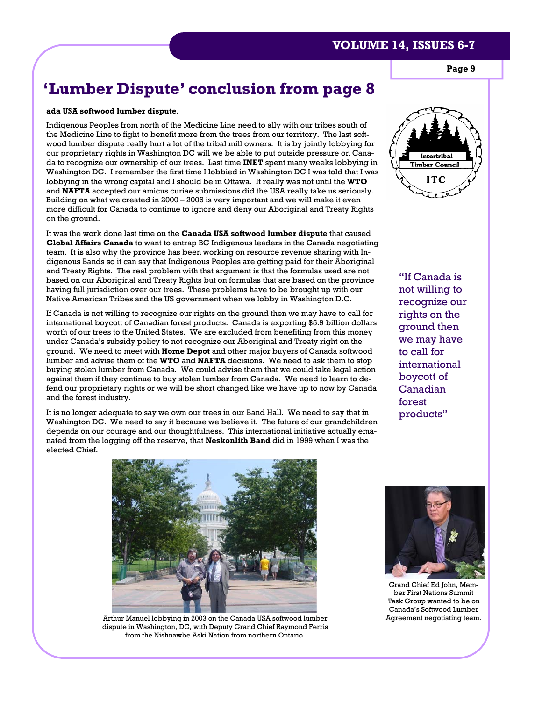**Page 9** 

# **'Lumber Dispute' conclusion from page 8**

#### **ada USA softwood lumber dispute**.

Indigenous Peoples from north of the Medicine Line need to ally with our tribes south of the Medicine Line to fight to benefit more from the trees from our territory. The last softwood lumber dispute really hurt a lot of the tribal mill owners. It is by jointly lobbying for our proprietary rights in Washington DC will we be able to put outside pressure on Canada to recognize our ownership of our trees. Last time **INET** spent many weeks lobbying in Washington DC. I remember the first time I lobbied in Washington DC I was told that I was lobbying in the wrong capital and I should be in Ottawa. It really was not until the **WTO** and **NAFTA** accepted our amicus curiae submissions did the USA really take us seriously. Building on what we created in 2000 – 2006 is very important and we will make it even more difficult for Canada to continue to ignore and deny our Aboriginal and Treaty Rights on the ground.

It was the work done last time on the **Canada USA softwood lumber dispute** that caused **Global Affairs Canada** to want to entrap BC Indigenous leaders in the Canada negotiating team. It is also why the province has been working on resource revenue sharing with Indigenous Bands so it can say that Indigenous Peoples are getting paid for their Aboriginal and Treaty Rights. The real problem with that argument is that the formulas used are not based on our Aboriginal and Treaty Rights but on formulas that are based on the province having full jurisdiction over our trees. These problems have to be brought up with our Native American Tribes and the US government when we lobby in Washington D.C.

If Canada is not willing to recognize our rights on the ground then we may have to call for international boycott of Canadian forest products. Canada is exporting \$5.9 billion dollars worth of our trees to the United States. We are excluded from benefiting from this money under Canada's subsidy policy to not recognize our Aboriginal and Treaty right on the ground. We need to meet with **Home Depot** and other major buyers of Canada softwood lumber and advise them of the **WTO** and **NAFTA** decisions. We need to ask them to stop buying stolen lumber from Canada. We could advise them that we could take legal action against them if they continue to buy stolen lumber from Canada. We need to learn to defend our proprietary rights or we will be short changed like we have up to now by Canada and the forest industry.

It is no longer adequate to say we own our trees in our Band Hall. We need to say that in Washington DC. We need to say it because we believe it. The future of our grandchildren depends on our courage and our thoughtfulness. This international initiative actually emanated from the logging off the reserve, that **Neskonlith Band** did in 1999 when I was the elected Chief.



"If Canada is not willing to recognize our rights on the ground then we may have to call for international boycott of Canadian forest products"



Arthur Manuel lobbying in 2003 on the Canada USA softwood lumber Agreement negotiating team. dispute in Washington, DC, with Deputy Grand Chief Raymond Ferris from the Nishnawbe Aski Nation from northern Ontario.



Grand Chief Ed John, Member First Nations Summit Task Group wanted to be on Canada's Softwood Lumber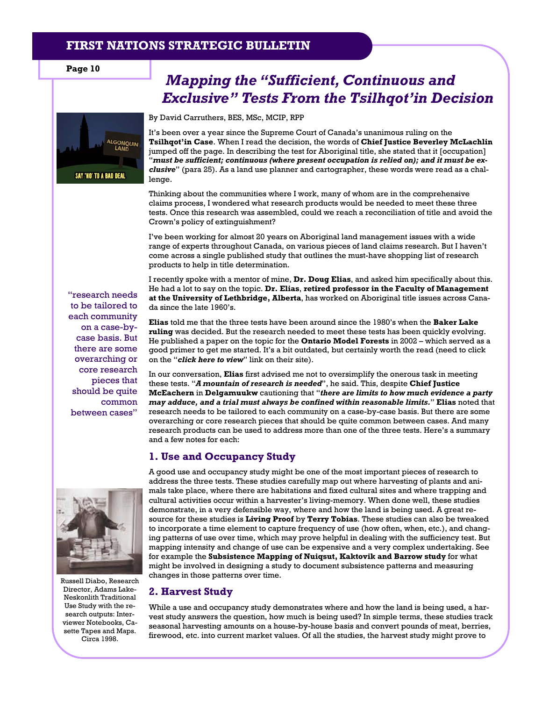**Page 10** 



# *Mapping the "Sufficient, Continuous and Exclusive" Tests From the Tsilhqot'in Decision*

By David Carruthers, BES, MSc, MCIP, RPP

It's been over a year since the Supreme Court of Canada's unanimous ruling on the **Tsilhqot'in Case**. When I read the decision, the words of **Chief Justice Beverley McLachlin** jumped off the page. In describing the test for Aboriginal title, she stated that it [occupation] "*must be sufficient; continuous (where present occupation is relied on); and it must be exclusive*" (para 25). As a land use planner and cartographer, these words were read as a challenge.

Thinking about the communities where I work, many of whom are in the comprehensive claims process, I wondered what research products would be needed to meet these three tests. Once this research was assembled, could we reach a reconciliation of title and avoid the Crown's policy of extinguishment?

I've been working for almost 20 years on Aboriginal land management issues with a wide range of experts throughout Canada, on various pieces of land claims research. But I haven't come across a single published study that outlines the must-have shopping list of research products to help in title determination.

I recently spoke with a mentor of mine, **Dr. Doug Elias**, and asked him specifically about this. He had a lot to say on the topic. **Dr. Elias**, **retired professor in the Faculty of Management at the University of Lethbridge, Alberta**, has worked on Aboriginal title issues across Canada since the late 1960's.

**Elias** told me that the three tests have been around since the 1980's when the **Baker Lake ruling** was decided. But the research needed to meet these tests has been quickly evolving. He published a paper on the topic for the **Ontario Model Forests** in 2002 – which served as a good primer to get me started. It's a bit outdated, but certainly worth the read (need to click on the "*click here to view*" link on their site).

In our conversation, **Elias** first advised me not to oversimplify the onerous task in meeting these tests. "*A mountain of research is needed*", he said. This, despite **Chief Justice McEachern** in **Delgamuukw** cautioning that "*there are limits to how much evidence a party may adduce, and a trial must always be confined within reasonable limits.*" **Elias** noted that research needs to be tailored to each community on a case-by-case basis. But there are some overarching or core research pieces that should be quite common between cases. And many research products can be used to address more than one of the three tests. Here's a summary and a few notes for each:

#### **1. Use and Occupancy Study**

A good use and occupancy study might be one of the most important pieces of research to address the three tests. These studies carefully map out where harvesting of plants and animals take place, where there are habitations and fixed cultural sites and where trapping and cultural activities occur within a harvester's living-memory. When done well, these studies demonstrate, in a very defensible way, where and how the land is being used. A great resource for these studies is **Living Proof** by **Terry Tobias**. These studies can also be tweaked to incorporate a time element to capture frequency of use (how often, when, etc.), and changing patterns of use over time, which may prove helpful in dealing with the sufficiency test. But mapping intensity and change of use can be expensive and a very complex undertaking. See for example the **Subsistence Mapping of Nuiqsut, Kaktovik and Barrow study** for what might be involved in designing a study to document subsistence patterns and measuring changes in those patterns over time.

#### **2. Harvest Study**

While a use and occupancy study demonstrates where and how the land is being used, a harvest study answers the question, how much is being used? In simple terms, these studies track seasonal harvesting amounts on a house-by-house basis and convert pounds of meat, berries, firewood, etc. into current market values. Of all the studies, the harvest study might prove to

"research needs to be tailored to each community on a case-bycase basis. But there are some overarching or core research pieces that should be quite common between cases"



Russell Diabo, Research Director, Adams Lake-Neskonlith Traditional Use Study with the research outputs: Interviewer Notebooks, Casette Tapes and Maps. Circa 1998.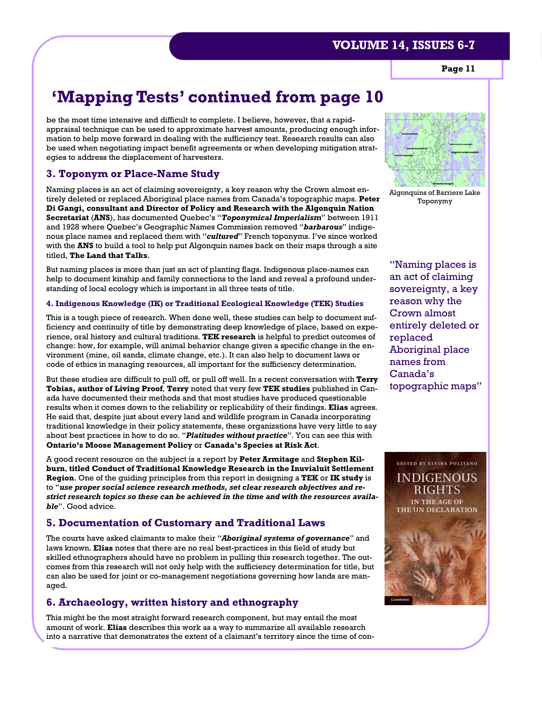**Page 11** 

# **'Mapping Tests' continued from page 10**

be the most time intensive and difficult to complete. I believe, however, that a rapidappraisal technique can be used to approximate harvest amounts, producing enough information to help move forward in dealing with the sufficiency test. Research results can also be used when negotiating impact benefit agreements or when developing mitigation strategies to address the displacement of harvesters.

#### **3. Toponym or Place-Name Study**

Naming places is an act of claiming sovereignty, a key reason why the Crown almost entirely deleted or replaced Aboriginal place names from Canada's topographic maps. **Peter Di Gangi, consultant and Director of Policy and Research with the Algonquin Nation Secretariat** (**ANS**), has documented Quebec's "*Toponymical Imperialism*" between 1911 and 1928 where Quebec's Geographic Names Commission removed "*barbarous*" indigenous place names and replaced them with "*cultured*" French toponyms. I've since worked with the **ANS** to build a tool to help put Algonquin names back on their maps through a site titled, **The Land that Talks**.

But naming places is more than just an act of planting flags. Indigenous place-names can help to document kinship and family connections to the land and reveal a profound understanding of local ecology which is important in all three tests of title.

#### **4. Indigenous Knowledge (IK) or Traditional Ecological Knowledge (TEK) Studies**

This is a tough piece of research. When done well, these studies can help to document sufficiency and continuity of title by demonstrating deep knowledge of place, based on experience, oral history and cultural traditions. **TEK research** is helpful to predict outcomes of change: how, for example, will animal behavior change given a specific change in the environment (mine, oil sands, climate change, etc.). It can also help to document laws or code of ethics in managing resources, all important for the sufficiency determination.

But these studies are difficult to pull off, or pull off well. In a recent conversation with **Terry Tobias, author of Living Proof**, **Terry** noted that very few **TEK studies** published in Canada have documented their methods and that most studies have produced questionable results when it comes down to the reliability or replicability of their findings. **Elias** agrees. He said that, despite just about every land and wildlife program in Canada incorporating traditional knowledge in their policy statements, these organizations have very little to say about best practices in how to do so. "*Platitudes without practice*". You can see this with **Ontario's Moose Management Policy** or **Canada's Species at Risk Act**.

A good recent resource on the subject is a report by **Peter Armitage** and **Stephen Kilburn**, **titled Conduct of Traditional Knowledge Research in the Inuvialuit Settlement Region**. One of the guiding principles from this report in designing a **TEK** or **IK study** is to "*use proper social science research methods, set clear research objectives and restrict research topics so these can be achieved in the time and with the resources available*". Good advice.

#### **5. Documentation of Customary and Traditional Laws**

The courts have asked claimants to make their "*Aboriginal systems of governance*" and laws known. **Elias** notes that there are no real best-practices in this field of study but skilled ethnographers should have no problem in pulling this research together. The outcomes from this research will not only help with the sufficiency determination for title, but can also be used for joint or co-management negotiations governing how lands are managed.

#### **6. Archaeology, written history and ethnography**

This might be the most straight forward research component, but may entail the most amount of work. **Elias** describes this work as a way to summarize all available research into a narrative that demonstrates the extent of a claimant's territory since the time of con-



Algonquins of Barriere Lake Toponymy

"Naming places is an act of claiming sovereignty, a key reason why the Crown almost entirely deleted or replaced Aboriginal place names from Canada's topographic maps"

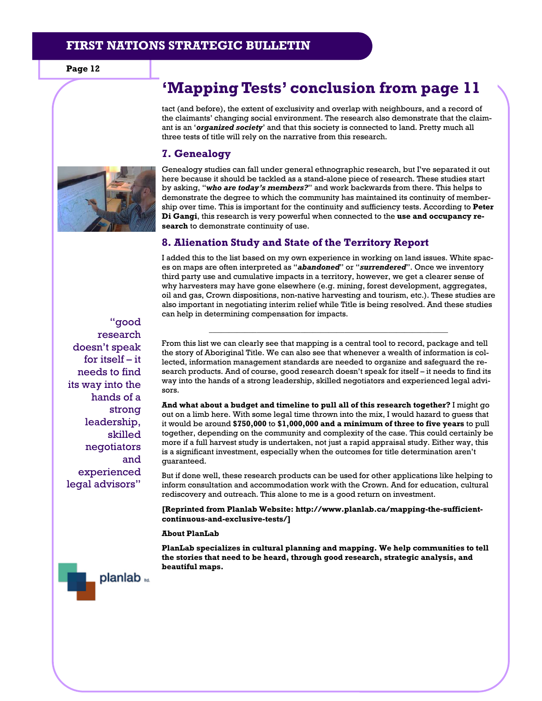# **'Mapping Tests' conclusion from page 11**

tact (and before), the extent of exclusivity and overlap with neighbours, and a record of the claimants' changing social environment. The research also demonstrate that the claimant is an '*organized society*' and that this society is connected to land. Pretty much all three tests of title will rely on the narrative from this research.

#### **7. Genealogy**



Genealogy studies can fall under general ethnographic research, but I've separated it out here because it should be tackled as a stand-alone piece of research. These studies start by asking, "*who are today's members?*" and work backwards from there. This helps to demonstrate the degree to which the community has maintained its continuity of membership over time. This is important for the continuity and sufficiency tests. According to **Peter Di Gangi**, this research is very powerful when connected to the **use and occupancy research** to demonstrate continuity of use.

#### **8. Alienation Study and State of the Territory Report**

I added this to the list based on my own experience in working on land issues. White spaces on maps are often interpreted as "*abandoned*" or "*surrendered*". Once we inventory third party use and cumulative impacts in a territory, however, we get a clearer sense of why harvesters may have gone elsewhere (e.g. mining, forest development, aggregates, oil and gas, Crown dispositions, non-native harvesting and tourism, etc.). These studies are also important in negotiating interim relief while Title is being resolved. And these studies can help in determining compensation for impacts.

**\_\_\_\_\_\_\_\_\_\_\_\_\_\_\_\_\_\_\_\_\_\_\_\_\_\_\_\_\_\_\_\_\_\_\_\_\_\_\_\_\_\_\_\_\_\_\_\_\_\_\_\_\_\_\_\_\_\_\_\_** 

"good research doesn't speak for itself – it needs to find its way into the hands of a strong leadership, skilled negotiators and experienced legal advisors"

From this list we can clearly see that mapping is a central tool to record, package and tell the story of Aboriginal Title. We can also see that whenever a wealth of information is collected, information management standards are needed to organize and safeguard the research products. And of course, good research doesn't speak for itself – it needs to find its way into the hands of a strong leadership, skilled negotiators and experienced legal advisors.

**And what about a budget and timeline to pull all of this research together?** I might go out on a limb here. With some legal time thrown into the mix, I would hazard to guess that it would be around **\$750,000** to **\$1,000,000 and a minimum of three to five years** to pull together, depending on the community and complexity of the case. This could certainly be more if a full harvest study is undertaken, not just a rapid appraisal study. Either way, this is a significant investment, especially when the outcomes for title determination aren't guaranteed.

But if done well, these research products can be used for other applications like helping to inform consultation and accommodation work with the Crown. And for education, cultural rediscovery and outreach. This alone to me is a good return on investment.

**[Reprinted from Planlab Website: http://www.planlab.ca/mapping-the-sufficientcontinuous-and-exclusive-tests/]** 

#### **About PlanLab**

**PlanLab specializes in cultural planning and mapping. We help communities to tell the stories that need to be heard, through good research, strategic analysis, and beautiful maps.** 

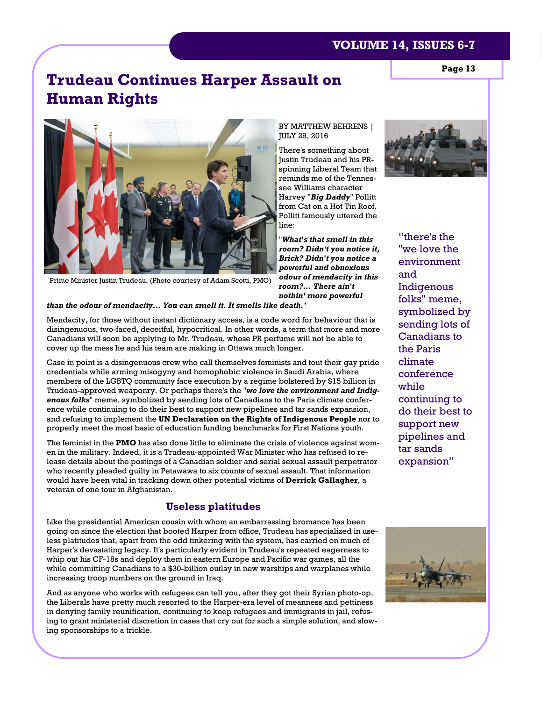# **Trudeau Continues Harper Assault on Human Rights**



spinning Liberal Team that reminds me of the Tennessee Williams character Harvey "*Big Daddy*" Pollitt from Cat on a Hot Tin Roof. Pollitt famously uttered the line:

"*What's that smell in this room? Didn't you notice it, Brick? Didn't you notice a powerful and obnoxious odour of mendacity in this room?... There ain't nothin' more powerful* 

Prime Minister Justin Trudeau. (Photo courtesy of Adam Scotti, PMO)

#### *than the odour of mendacity... You can smell it. It smells like death.*"

Mendacity, for those without instant dictionary access, is a code word for behaviour that is disingenuous, two-faced, deceitful, hypocritical. In other words, a term that more and more Canadians will soon be applying to Mr. Trudeau, whose PR perfume will not be able to cover up the mess he and his team are making in Ottawa much longer.

Case in point is a disingenuous crew who call themselves feminists and tout their gay pride credentials while arming misogyny and homophobic violence in Saudi Arabia, where members of the LGBTQ community face execution by a regime bolstered by \$15 billion in Trudeau-approved weaponry. Or perhaps there's the "*we love the environment and Indigenous folks*" meme, symbolized by sending lots of Canadians to the Paris climate conference while continuing to do their best to support new pipelines and tar sands expansion, and refusing to implement the **UN Declaration on the Rights of Indigenous People** nor to properly meet the most basic of education funding benchmarks for First Nations youth.

The feminist in the **PMO** has also done little to eliminate the crisis of violence against women in the military. Indeed, it is a Trudeau-appointed War Minister who has refused to release details about the postings of a Canadian soldier and serial sexual assault perpetrator who recently pleaded guilty in Petawawa to six counts of sexual assault. That information would have been vital in tracking down other potential victims of **Derrick Gallagher**, a veteran of one tour in Afghanistan.

#### **Useless platitudes**

Like the presidential American cousin with whom an embarrassing bromance has been going on since the election that booted Harper from office, Trudeau has specialized in useless platitudes that, apart from the odd tinkering with the system, has carried on much of Harper's devastating legacy. It's particularly evident in Trudeau's repeated eagerness to whip out his CF-18s and deploy them in eastern Europe and Pacific war games, all the while committing Canadians to a \$30-billion outlay in new warships and warplanes while increasing troop numbers on the ground in Iraq.

And as anyone who works with refugees can tell you, after they got their Syrian photo-op, the Liberals have pretty much resorted to the Harper-era level of meanness and pettiness in denying family reunification, continuing to keep refugees and immigrants in jail, refusing to grant ministerial discretion in cases that cry out for such a simple solution, and slowing sponsorships to a trickle.



"there's the "we love the environment and Indigenous folks" meme, symbolized by sending lots of Canadians to the Paris climate conference while continuing to do their best to support new pipelines and tar sands expansion"



**Page 13**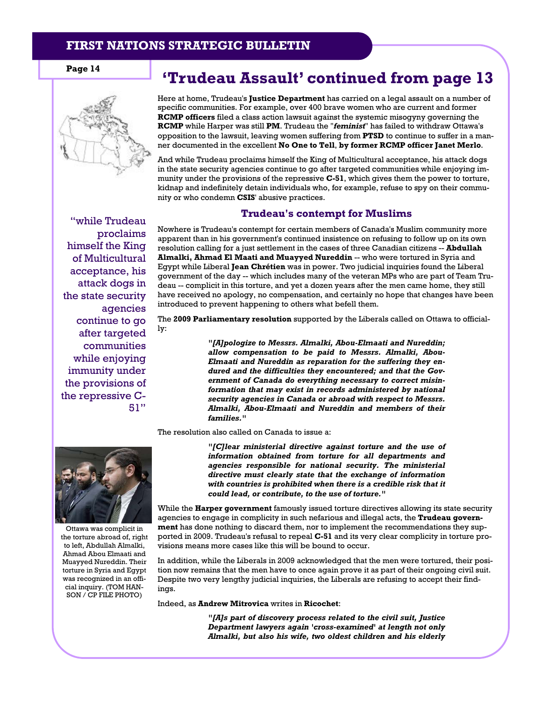

"while Trudeau proclaims himself the King of Multicultural acceptance, his attack dogs in the state security agencies continue to go after targeted communities while enjoying immunity under the provisions of the repressive C-51"

# Page 14 **Trudeau Assault' continued from page 13**

Here at home, Trudeau's **Justice Department** has carried on a legal assault on a number of specific communities. For example, over 400 brave women who are current and former **RCMP officers** filed a class action lawsuit against the systemic misogyny governing the **RCMP** while Harper was still **PM**. Trudeau the "*feminist*" has failed to withdraw Ottawa's opposition to the lawsuit, leaving women suffering from **PTSD** to continue to suffer in a manner documented in the excellent **No One to Tell**, **by former RCMP officer Janet Merlo**.

And while Trudeau proclaims himself the King of Multicultural acceptance, his attack dogs in the state security agencies continue to go after targeted communities while enjoying immunity under the provisions of the repressive **C-51**, which gives them the power to torture, kidnap and indefinitely detain individuals who, for example, refuse to spy on their community or who condemn **CSIS**' abusive practices.

#### **Trudeau's contempt for Muslims**

Nowhere is Trudeau's contempt for certain members of Canada's Muslim community more apparent than in his government's continued insistence on refusing to follow up on its own resolution calling for a just settlement in the cases of three Canadian citizens -- **Abdullah Almalki, Ahmad El Maati and Muayyed Nureddin** -- who were tortured in Syria and Egypt while Liberal **Jean Chrétien** was in power. Two judicial inquiries found the Liberal government of the day -- which includes many of the veteran MPs who are part of Team Trudeau -- complicit in this torture, and yet a dozen years after the men came home, they still have received no apology, no compensation, and certainly no hope that changes have been introduced to prevent happening to others what befell them.

The **2009 Parliamentary resolution** supported by the Liberals called on Ottawa to officially:

> *"[A]pologize to Messrs. Almalki, Abou-Elmaati and Nureddin; allow compensation to be paid to Messrs. Almalki, Abou-Elmaati and Nureddin as reparation for the suffering they endured and the difficulties they encountered; and that the Government of Canada do everything necessary to correct misinformation that may exist in records administered by national security agencies in Canada or abroad with respect to Messrs. Almalki, Abou-Elmaati and Nureddin and members of their families."*

The resolution also called on Canada to issue a:



Ottawa was complicit in the torture abroad of, right to left, Abdullah Almalki, Ahmad Abou Elmaati and Muayyed Nureddin. Their torture in Syria and Egypt was recognized in an official inquiry. (TOM HAN-SON / CP FILE PHOTO)

*"[C]lear ministerial directive against torture and the use of information obtained from torture for all departments and agencies responsible for national security. The ministerial directive must clearly state that the exchange of information with countries is prohibited when there is a credible risk that it could lead, or contribute, to the use of torture."* 

While the **Harper government** famously issued torture directives allowing its state security agencies to engage in complicity in such nefarious and illegal acts, the **Trudeau government** has done nothing to discard them, nor to implement the recommendations they supported in 2009. Trudeau's refusal to repeal **C-51** and its very clear complicity in torture provisions means more cases like this will be bound to occur.

In addition, while the Liberals in 2009 acknowledged that the men were tortured, their position now remains that the men have to once again prove it as part of their ongoing civil suit. Despite two very lengthy judicial inquiries, the Liberals are refusing to accept their findings.

Indeed, as **Andrew Mitrovica** writes in **Ricochet**:

*"[A]s part of discovery process related to the civil suit, Justice Department lawyers again 'cross-examined' at length not only Almalki, but also his wife, two oldest children and his elderly*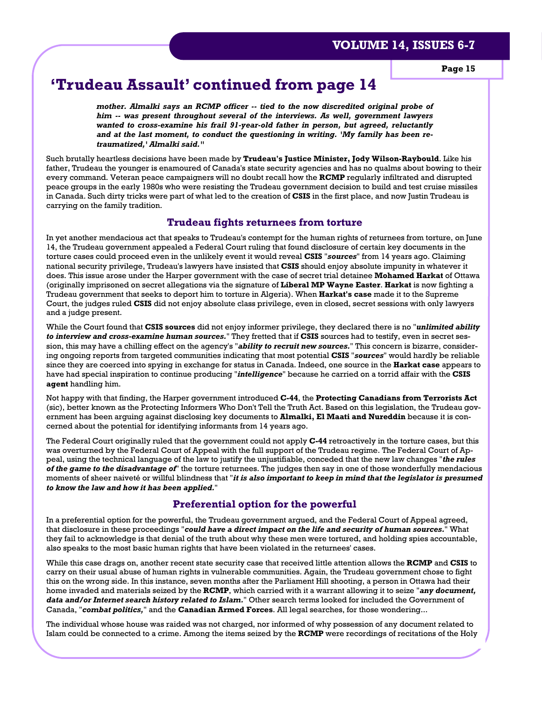# **'Trudeau Assault' continued from page 14**

*mother. Almalki says an RCMP officer -- tied to the now discredited original probe of him -- was present throughout several of the interviews. As well, government lawyers wanted to cross-examine his frail 91-year-old father in person, but agreed, reluctantly and at the last moment, to conduct the questioning in writing. 'My family has been retraumatized,' Almalki said."* 

Such brutally heartless decisions have been made by **Trudeau's Justice Minister, Jody Wilson-Raybould**. Like his father, Trudeau the younger is enamoured of Canada's state security agencies and has no qualms about bowing to their every command. Veteran peace campaigners will no doubt recall how the **RCMP** regularly infiltrated and disrupted peace groups in the early 1980s who were resisting the Trudeau government decision to build and test cruise missiles in Canada. Such dirty tricks were part of what led to the creation of **CSIS** in the first place, and now Justin Trudeau is carrying on the family tradition.

#### **Trudeau fights returnees from torture**

In yet another mendacious act that speaks to Trudeau's contempt for the human rights of returnees from torture, on June 14, the Trudeau government appealed a Federal Court ruling that found disclosure of certain key documents in the torture cases could proceed even in the unlikely event it would reveal **CSIS** "*sources*" from 14 years ago. Claiming national security privilege, Trudeau's lawyers have insisted that **CSIS** should enjoy absolute impunity in whatever it does. This issue arose under the Harper government with the case of secret trial detainee **Mohamed Harkat** of Ottawa (originally imprisoned on secret allegations via the signature of **Liberal MP Wayne Easter**. **Harkat** is now fighting a Trudeau government that seeks to deport him to torture in Algeria). When **Harkat's case** made it to the Supreme Court, the judges ruled **CSIS** did not enjoy absolute class privilege, even in closed, secret sessions with only lawyers and a judge present.

While the Court found that **CSIS sources** did not enjoy informer privilege, they declared there is no "*unlimited ability to interview and cross-examine human sources.*" They fretted that if **CSIS** sources had to testify, even in secret session, this may have a chilling effect on the agency's "*ability to recruit new sources.*" This concern is bizarre, considering ongoing reports from targeted communities indicating that most potential **CSIS** "*sources*" would hardly be reliable since they are coerced into spying in exchange for status in Canada. Indeed, one source in the **Harkat case** appears to have had special inspiration to continue producing "*intelligence*" because he carried on a torrid affair with the **CSIS agent** handling him.

Not happy with that finding, the Harper government introduced **C-44**, the **Protecting Canadians from Terrorists Act** (sic), better known as the Protecting Informers Who Don't Tell the Truth Act. Based on this legislation, the Trudeau government has been arguing against disclosing key documents to **Almalki, El Maati and Nureddin** because it is concerned about the potential for identifying informants from 14 years ago.

The Federal Court originally ruled that the government could not apply **C-44** retroactively in the torture cases, but this was overturned by the Federal Court of Appeal with the full support of the Trudeau regime. The Federal Court of Appeal, using the technical language of the law to justify the unjustifiable, conceded that the new law changes "*the rules of the game to the disadvantage of*" the torture returnees. The judges then say in one of those wonderfully mendacious moments of sheer naiveté or willful blindness that "*it is also important to keep in mind that the legislator is presumed to know the law and how it has been applied.*"

#### **Preferential option for the powerful**

In a preferential option for the powerful, the Trudeau government argued, and the Federal Court of Appeal agreed, that disclosure in these proceedings "*could have a direct impact on the life and security of human sources.*" What they fail to acknowledge is that denial of the truth about why these men were tortured, and holding spies accountable, also speaks to the most basic human rights that have been violated in the returnees' cases.

While this case drags on, another recent state security case that received little attention allows the **RCMP** and **CSIS** to carry on their usual abuse of human rights in vulnerable communities. Again, the Trudeau government chose to fight this on the wrong side. In this instance, seven months after the Parliament Hill shooting, a person in Ottawa had their home invaded and materials seized by the **RCMP**, which carried with it a warrant allowing it to seize "*any document, data and/or Internet search history related to Islam.*" Other search terms looked for included the Government of Canada, "*combat politics,*" and the **Canadian Armed Forces**. All legal searches, for those wondering...

The individual whose house was raided was not charged, nor informed of why possession of any document related to Islam could be connected to a crime. Among the items seized by the **RCMP** were recordings of recitations of the Holy